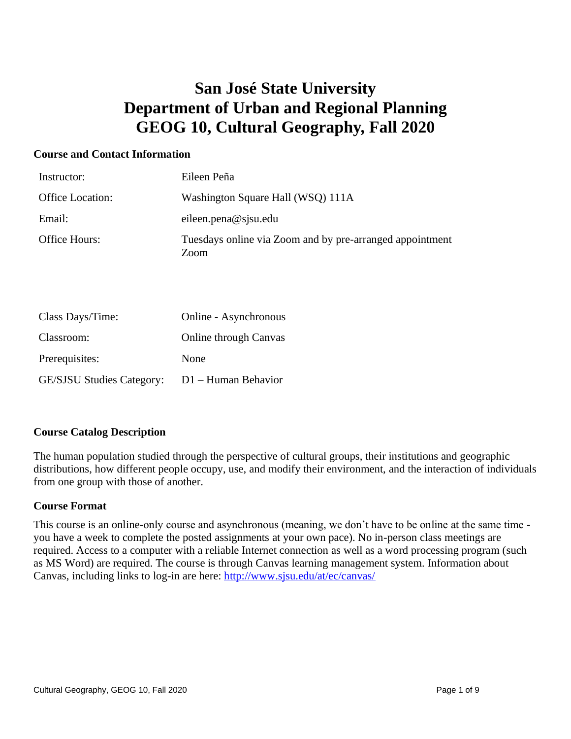## **San José State University Department of Urban and Regional Planning GEOG 10, Cultural Geography, Fall 2020**

#### **Course and Contact Information**

| Instructor:             | Eileen Peña                                                      |
|-------------------------|------------------------------------------------------------------|
| <b>Office Location:</b> | Washington Square Hall (WSQ) 111A                                |
| Email:                  | eileen.pena@sjsu.edu                                             |
| Office Hours:           | Tuesdays online via Zoom and by pre-arranged appointment<br>Zoom |

| Class Days/Time:                 | Online - Asynchronous        |
|----------------------------------|------------------------------|
| Classroom:                       | <b>Online through Canvas</b> |
| Prerequisites:                   | None                         |
| <b>GE/SJSU Studies Category:</b> | $D1 -$ Human Behavior        |

#### **Course Catalog Description**

The human population studied through the perspective of cultural groups, their institutions and geographic distributions, how different people occupy, use, and modify their environment, and the interaction of individuals from one group with those of another.

#### **Course Format**

This course is an online-only course and asynchronous (meaning, we don't have to be online at the same time you have a week to complete the posted assignments at your own pace). No in-person class meetings are required. Access to a computer with a reliable Internet connection as well as a word processing program (such as MS Word) are required. The course is through Canvas learning management system. Information about Canvas, including links to log-in are here:<http://www.sjsu.edu/at/ec/canvas/>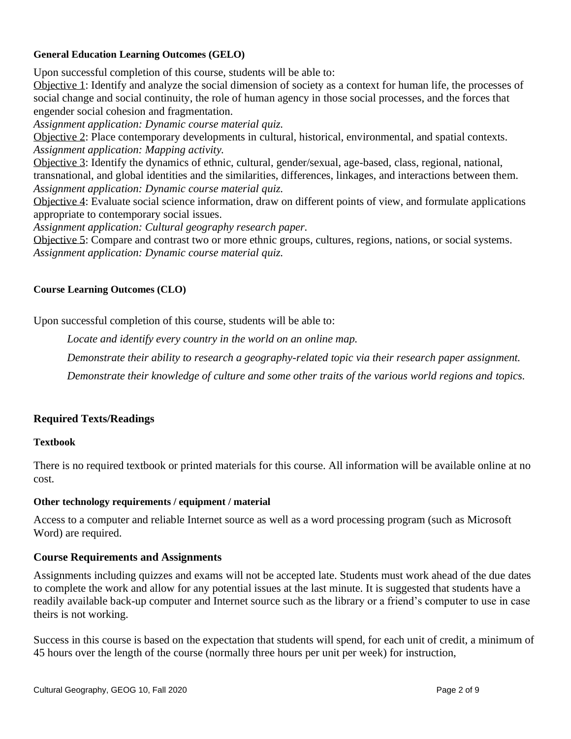#### **General Education Learning Outcomes (GELO)**

Upon successful completion of this course, students will be able to:

Objective 1: Identify and analyze the social dimension of society as a context for human life, the processes of social change and social continuity, the role of human agency in those social processes, and the forces that engender social cohesion and fragmentation.

*Assignment application: Dynamic course material quiz.*

Objective 2: Place contemporary developments in cultural, historical, environmental, and spatial contexts. *Assignment application: Mapping activity.*

Objective 3: Identify the dynamics of ethnic, cultural, gender/sexual, age-based, class, regional, national, transnational, and global identities and the similarities, differences, linkages, and interactions between them. *Assignment application: Dynamic course material quiz.*

Objective 4: Evaluate social science information, draw on different points of view, and formulate applications appropriate to contemporary social issues.

*Assignment application: Cultural geography research paper.*

Objective 5: Compare and contrast two or more ethnic groups, cultures, regions, nations, or social systems. *Assignment application: Dynamic course material quiz.*

#### **Course Learning Outcomes (CLO)**

Upon successful completion of this course, students will be able to:

*Locate and identify every country in the world on an online map.*

*Demonstrate their ability to research a geography-related topic via their research paper assignment.*

*Demonstrate their knowledge of culture and some other traits of the various world regions and topics.*

#### **Required Texts/Readings**

#### **Textbook**

There is no required textbook or printed materials for this course. All information will be available online at no cost.

#### **Other technology requirements / equipment / material**

Access to a computer and reliable Internet source as well as a word processing program (such as Microsoft Word) are required.

#### **Course Requirements and Assignments**

Assignments including quizzes and exams will not be accepted late. Students must work ahead of the due dates to complete the work and allow for any potential issues at the last minute. It is suggested that students have a readily available back-up computer and Internet source such as the library or a friend's computer to use in case theirs is not working.

Success in this course is based on the expectation that students will spend, for each unit of credit, a minimum of 45 hours over the length of the course (normally three hours per unit per week) for instruction,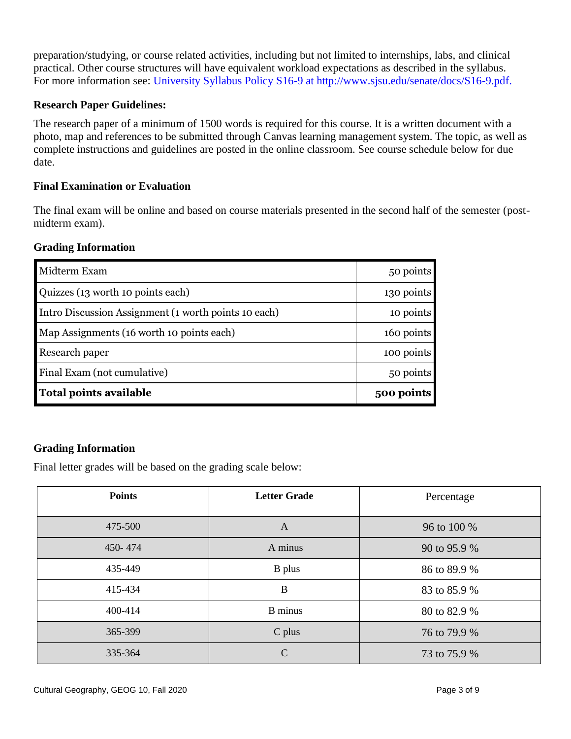preparation/studying, or course related activities, including but not limited to internships, labs, and clinical practical. Other course structures will have equivalent workload expectations as described in the syllabus. For more information see: [University Syllabus Policy S16-9](http://www.sjsu.edu/senate/docs/S16-9.pdf) at [http://www.sjsu.edu/senate/docs/S16-9.pdf.](http://www.sjsu.edu/senate/docs/S16-9.pdf)

#### **Research Paper Guidelines:**

The research paper of a minimum of 1500 words is required for this course. It is a written document with a photo, map and references to be submitted through Canvas learning management system. The topic, as well as complete instructions and guidelines are posted in the online classroom. See course schedule below for due date.

#### **Final Examination or Evaluation**

The final exam will be online and based on course materials presented in the second half of the semester (postmidterm exam).

#### **Grading Information**

| <b>Total points available</b>                        | 500 points |
|------------------------------------------------------|------------|
| Final Exam (not cumulative)                          | 50 points  |
| Research paper                                       | 100 points |
| Map Assignments (16 worth 10 points each)            | 160 points |
| Intro Discussion Assignment (1 worth points 10 each) | 10 points  |
| Quizzes (13 worth 10 points each)                    | 130 points |
| Midterm Exam                                         | 50 points  |

#### **Grading Information**

Final letter grades will be based on the grading scale below:

| <b>Points</b> | <b>Letter Grade</b> | Percentage   |
|---------------|---------------------|--------------|
| 475-500       | $\mathbf{A}$        | 96 to 100 %  |
| 450-474       | A minus             | 90 to 95.9 % |
| 435-449       | <b>B</b> plus       | 86 to 89.9 % |
| 415-434       | $\bf{B}$            | 83 to 85.9 % |
| 400-414       | <b>B</b> minus      | 80 to 82.9 % |
| 365-399       | C plus              | 76 to 79.9 % |
| 335-364       | $\mathcal{C}$       | 73 to 75.9 % |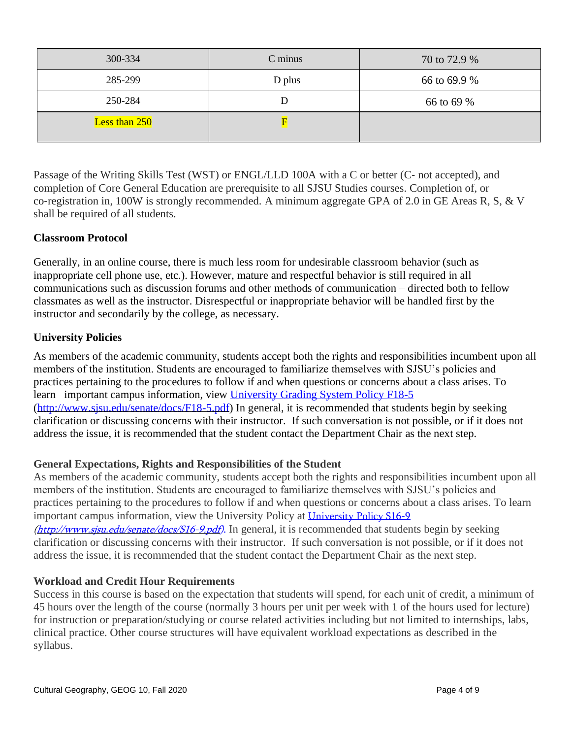| 300-334       | C minus | 70 to 72.9 % |
|---------------|---------|--------------|
| 285-299       | D plus  | 66 to 69.9 % |
| 250-284       |         | 66 to 69 %   |
| Less than 250 |         |              |

Passage of the Writing Skills Test (WST) or ENGL/LLD 100A with a C or better (C‐ not accepted), and completion of Core General Education are prerequisite to all SJSU Studies courses. Completion of, or co-registration in, 100W is strongly recommended. A minimum aggregate GPA of 2.0 in GE Areas R, S, & V shall be required of all students.

#### **Classroom Protocol**

Generally, in an online course, there is much less room for undesirable classroom behavior (such as inappropriate cell phone use, etc.). However, mature and respectful behavior is still required in all communications such as discussion forums and other methods of communication – directed both to fellow classmates as well as the instructor. Disrespectful or inappropriate behavior will be handled first by the instructor and secondarily by the college, as necessary.

#### **University Policies**

As members of the academic community, students accept both the rights and responsibilities incumbent upon all members of the institution. Students are encouraged to familiarize themselves with SJSU's policies and practices pertaining to the procedures to follow if and when questions or concerns about a class arises. To learn important campus information, view [University Grading System Policy F18-5](http://www.sjsu.edu/senate/docs/F18-5.pdf) [\(http://www.sjsu.edu/senate/docs/F18-5.pdf\)](http://www.sjsu.edu/senate/docs/F18-5.pdf) In general, it is recommended that students begin by seeking clarification or discussing concerns with their instructor. If such conversation is not possible, or if it does not address the issue, it is recommended that the student contact the Department Chair as the next step.

#### **General Expectations, Rights and Responsibilities of the Student**

As members of the academic community, students accept both the rights and responsibilities incumbent upon all members of the institution. Students are encouraged to familiarize themselves with SJSU's policies and practices pertaining to the procedures to follow if and when questions or concerns about a class arises. To learn important campus information, view the University Policy at [University Policy S16-9](http://www.sjsu.edu/senate/docs/S16-9.pdf) [\(http://www.sjsu.edu/senate/docs/S16-9.pdf\)](http://www.sjsu.edu/senate/docs/S16-9.pdf). In general, it is recommended that students begin by seeking clarification or discussing concerns with their instructor. If such conversation is not possible, or if it does not address the issue, it is recommended that the student contact the Department Chair as the next step.

#### **Workload and Credit Hour Requirements**

Success in this course is based on the expectation that students will spend, for each unit of credit, a minimum of 45 hours over the length of the course (normally 3 hours per unit per week with 1 of the hours used for lecture) for instruction or preparation/studying or course related activities including but not limited to internships, labs, clinical practice. Other course structures will have equivalent workload expectations as described in the syllabus.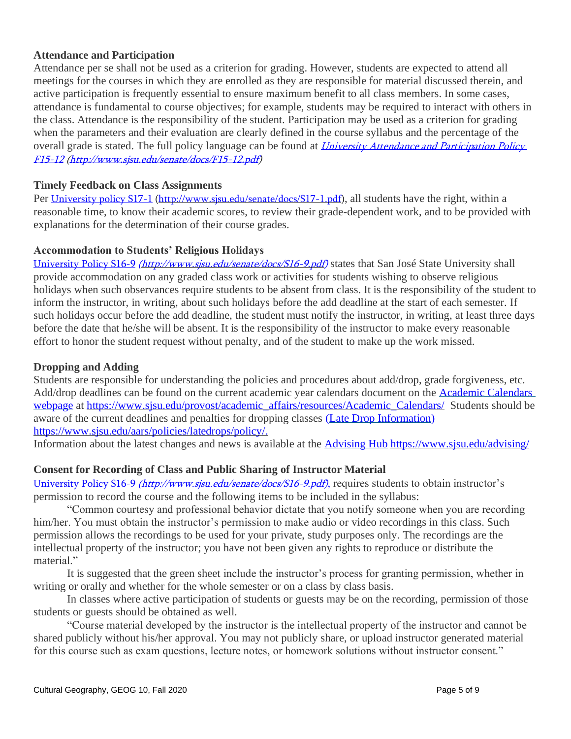#### **Attendance and Participation**

Attendance per se shall not be used as a criterion for grading. However, students are expected to attend all meetings for the courses in which they are enrolled as they are responsible for material discussed therein, and active participation is frequently essential to ensure maximum benefit to all class members. In some cases, attendance is fundamental to course objectives; for example, students may be required to interact with others in the class. Attendance is the responsibility of the student. Participation may be used as a criterion for grading when the parameters and their evaluation are clearly defined in the course syllabus and the percentage of the overall grade is stated. The full policy language can be found at *University Attendance and Participation Policy* F15-12 [\(http://www.sjsu.edu/senate/docs/F15-12.pdf\)](http://www.sjsu.edu/senate/docs/F15-12.pdf)

#### **Timely Feedback on Class Assignments**

Per [University policy S17-1](http://www.sjsu.edu/senate/docs/S17-1.pdf) [\(http://www.sjsu.edu/senate/docs/S17-1.pdf\)](http://www.sjsu.edu/senate/docs/S17-1.pdf), all students have the right, within a reasonable time, to know their academic scores, to review their grade-dependent work, and to be provided with explanations for the determination of their course grades.

#### **Accommodation to Students' Religious Holidays**

[University Policy S16-9](http://www.sjsu.edu/senate/docs/S16-9.pdf) [\(http://www.sjsu.edu/senate/docs/S16-9.pdf\)](http://www.sjsu.edu/senate/docs/S16-9.pdf) states that San José State University shall provide accommodation on any graded class work or activities for students wishing to observe religious holidays when such observances require students to be absent from class. It is the responsibility of the student to inform the instructor, in writing, about such holidays before the add deadline at the start of each semester. If such holidays occur before the add deadline, the student must notify the instructor, in writing, at least three days before the date that he/she will be absent. It is the responsibility of the instructor to make every reasonable effort to honor the student request without penalty, and of the student to make up the work missed.

#### **Dropping and Adding**

Students are responsible for understanding the policies and procedures about add/drop, grade forgiveness, etc. Add/drop deadlines can be found on the current academic year calendars document on the [Academic Calendars](http://www.sjsu.edu/provost/services/academic_calendars/)  [webpage](http://www.sjsu.edu/provost/services/academic_calendars/) at [https://www.sjsu.edu/provost/academic\\_affairs/resources/Academic\\_Calendars/](http://www.sjsu.edu/provost/services/academic_calendars/) Students should be aware of the current deadlines and penalties for dropping classes [\(Late Drop Information\)](http://www.sjsu.edu/aars/policies/latedrops/policy/) [https://www.sjsu.edu/aars/policies/latedrops/policy/.](http://www.sjsu.edu/aars/policies/latedrops/policy/)

Information about the latest changes and news is available at the [Advising Hub](http://www.sjsu.edu/advising/) [https://www.sjsu.edu/advising/](http://www.sjsu.edu/advising/)

#### **Consent for Recording of Class and Public Sharing of Instructor Material**

[University Policy S16-9](http://www.sjsu.edu/senate/docs/S16-9.pdf) *[\(http://www.sjsu.edu/senate/docs/S16-9.pdf\)](http://www.sjsu.edu/senate/docs/S16-9.pdf)*, requires students to obtain instructor's permission to record the course and the following items to be included in the syllabus:

"Common courtesy and professional behavior dictate that you notify someone when you are recording him/her. You must obtain the instructor's permission to make audio or video recordings in this class. Such permission allows the recordings to be used for your private, study purposes only. The recordings are the intellectual property of the instructor; you have not been given any rights to reproduce or distribute the material."

It is suggested that the green sheet include the instructor's process for granting permission, whether in writing or orally and whether for the whole semester or on a class by class basis.

In classes where active participation of students or guests may be on the recording, permission of those students or guests should be obtained as well.

"Course material developed by the instructor is the intellectual property of the instructor and cannot be shared publicly without his/her approval. You may not publicly share, or upload instructor generated material for this course such as exam questions, lecture notes, or homework solutions without instructor consent."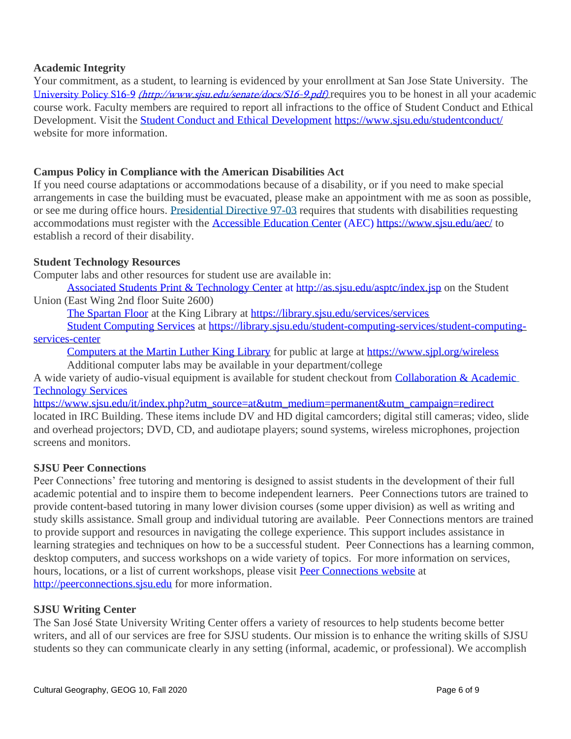#### **Academic Integrity**

Your commitment, as a student, to learning is evidenced by your enrollment at San Jose State University. The [University Policy S16-9](http://www.sjsu.edu/senate/docs/S16-9.pdf) *[\(http://www.sjsu.edu/senate/docs/S16-9.pdf\)](http://www.sjsu.edu/senate/docs/S16-9.pdf)* requires you to be honest in all your academic course work. Faculty members are required to report all infractions to the office of Student Conduct and Ethical Development. Visit the **[Student Conduct and Ethical Development](http://www.sjsu.edu/studentconduct/) <https://www.sjsu.edu/studentconduct/>** website for more information.

#### **Campus Policy in Compliance with the American Disabilities Act**

If you need course adaptations or accommodations because of a disability, or if you need to make special arrangements in case the building must be evacuated, please make an appointment with me as soon as possible, or see me during office hours. [Presidential Directive 97-03](http://www.sjsu.edu/president/docs/directives/PD_1997-03.pdf) requires that students with disabilities requesting accommodations must register with the [Accessible Education Center](http://www.sjsu.edu/aec) (AEC)<https://www.sjsu.edu/aec/> to establish a record of their disability.

#### **Student Technology Resources**

Computer labs and other resources for student use are available in:

[Associated Students Print & Technology Center](http://as.sjsu.edu/asptc/index.jsp) at<http://as.sjsu.edu/asptc/index.jsp> on the Student Union (East Wing 2nd floor Suite 2600)

[The Spartan Floor](https://library.sjsu.edu/services/services) at the King Library at <https://library.sjsu.edu/services/services>

[Student Computing Services](https://library.sjsu.edu/student-computing-services/student-computing-services-center) at [https://library.sjsu.edu/student-computing-services/student-computing](https://library.sjsu.edu/student-computing-services/student-computing-services-center)[services-center](https://library.sjsu.edu/student-computing-services/student-computing-services-center)

[Computers at the Martin Luther King Library](https://www.sjpl.org/wireless) for public at large at <https://www.sjpl.org/wireless>

Additional computer labs may be available in your department/college

A wide variety of audio-visual equipment is available for student checkout from Collaboration & Academic [Technology Services](http://www.sjsu.edu/at/)

[https://www.sjsu.edu/it/index.php?utm\\_source=at&utm\\_medium=permanent&utm\\_campaign=redirect](https://www.sjsu.edu/it/index.php?utm_source=at&utm_medium=permanent&utm_campaign=redirect) located in IRC Building. These items include DV and HD digital camcorders; digital still cameras; video, slide and overhead projectors; DVD, CD, and audiotape players; sound systems, wireless microphones, projection screens and monitors.

#### **SJSU Peer Connections**

Peer Connections' free tutoring and mentoring is designed to assist students in the development of their full academic potential and to inspire them to become independent learners. Peer Connections tutors are trained to provide content-based tutoring in many lower division courses (some upper division) as well as writing and study skills assistance. Small group and individual tutoring are available. Peer Connections mentors are trained to provide support and resources in navigating the college experience. This support includes assistance in learning strategies and techniques on how to be a successful student. Peer Connections has a learning common, desktop computers, and success workshops on a wide variety of topics. For more information on services, hours, locations, or a list of current workshops, please visit [Peer Connections website](http://peerconnections.sjsu.edu/) at [http://peerconnections.sjsu.edu](http://peerconnections.sjsu.edu/) for more information.

#### **SJSU Writing Center**

The San José State University Writing Center offers a variety of resources to help students become better writers, and all of our services are free for SJSU students. Our mission is to enhance the writing skills of SJSU students so they can communicate clearly in any setting (informal, academic, or professional). We accomplish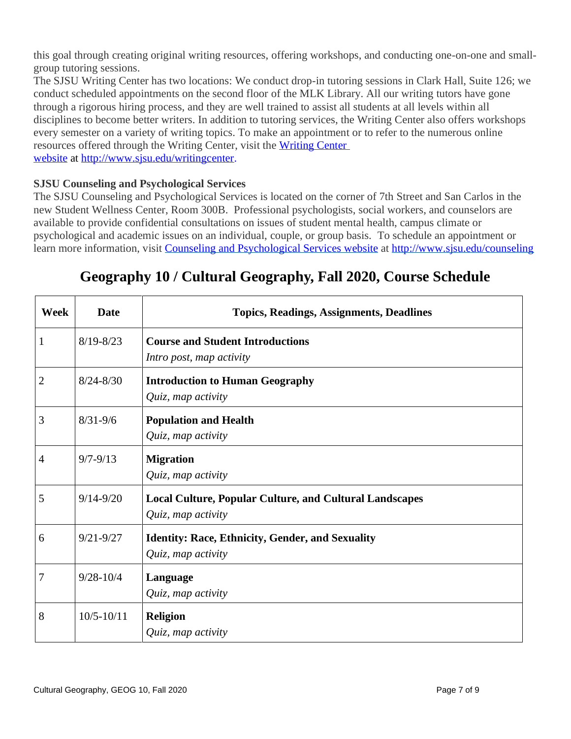this goal through creating original writing resources, offering workshops, and conducting one-on-one and smallgroup tutoring sessions.

The SJSU Writing Center has two locations: We conduct drop-in tutoring sessions in Clark Hall, Suite 126; we conduct scheduled appointments on the second floor of the MLK Library. All our writing tutors have gone through a rigorous hiring process, and they are well trained to assist all students at all levels within all disciplines to become better writers. In addition to tutoring services, the Writing Center also offers workshops every semester on a variety of writing topics. To make an appointment or to refer to the numerous online resources offered through the Writing Center, visit the [Writing Center](http://www.sjsu.edu/writingcenter)  [website](http://www.sjsu.edu/writingcenter) at [http://www.sjsu.edu/writingcenter.](http://www.sjsu.edu/writingcenter)

#### **SJSU Counseling and Psychological Services**

The SJSU Counseling and Psychological Services is located on the corner of 7th Street and San Carlos in the new Student Wellness Center, Room 300B. Professional psychologists, social workers, and counselors are available to provide confidential consultations on issues of student mental health, campus climate or psychological and academic issues on an individual, couple, or group basis. To schedule an appointment or learn more information, visit [Counseling and Psychological Services website](http://www.sjsu.edu/counseling) at <http://www.sjsu.edu/counseling>

# **Week Date Topics, Readings, Assignments, Deadlines** 1 8/19-8/23 **Course and Student Introductions** *Intro post, map activity* 2 8/24-8/30 **Introduction to Human Geography** *Quiz, map activity* 3 8/31-9/6 **Population and Health** *Quiz, map activity* 4 9/7-9/13 **Migration** *Quiz, map activity* 5 9/14-9/20 **Local Culture, Popular Culture, and Cultural Landscapes** *Quiz, map activity* 6 9/21-9/27 **Identity: Race, Ethnicity, Gender, and Sexuality** *Quiz, map activity* 7 9/28-10/4 **Language** *Quiz, map activity* 8 10/5-10/11 **Religion** *Quiz, map activity*

### **Geography 10 / Cultural Geography, Fall 2020, Course Schedule**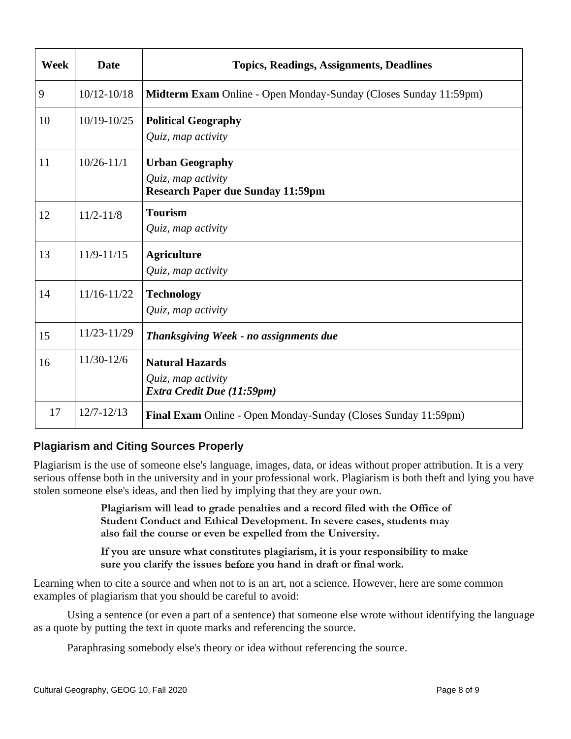| Week | <b>Date</b>     | <b>Topics, Readings, Assignments, Deadlines</b>                                          |
|------|-----------------|------------------------------------------------------------------------------------------|
| 9    | $10/12 - 10/18$ | Midterm Exam Online - Open Monday-Sunday (Closes Sunday 11:59pm)                         |
| 10   | $10/19 - 10/25$ | <b>Political Geography</b><br>Quiz, map activity                                         |
| 11   | $10/26 - 11/1$  | <b>Urban Geography</b><br>Quiz, map activity<br><b>Research Paper due Sunday 11:59pm</b> |
| 12   | $11/2 - 11/8$   | <b>Tourism</b><br>Quiz, map activity                                                     |
| 13   | $11/9 - 11/15$  | <b>Agriculture</b><br>Quiz, map activity                                                 |
| 14   | $11/16 - 11/22$ | <b>Technology</b><br>Quiz, map activity                                                  |
| 15   | 11/23-11/29     | Thanksgiving Week - no assignments due                                                   |
| 16   | 11/30-12/6      | <b>Natural Hazards</b><br>Quiz, map activity<br>Extra Credit Due (11:59pm)               |
| 17   | $12/7 - 12/13$  | Final Exam Online - Open Monday-Sunday (Closes Sunday 11:59pm)                           |

### **Plagiarism and Citing Sources Properly**

Plagiarism is the use of someone else's language, images, data, or ideas without proper attribution. It is a very serious offense both in the university and in your professional work. Plagiarism is both theft and lying you have stolen someone else's ideas, and then lied by implying that they are your own.

> **Plagiarism will lead to grade penalties and a record filed with the Office of Student Conduct and Ethical Development. In severe cases, students may also fail the course or even be expelled from the University.**

**If you are unsure what constitutes plagiarism, it is your responsibility to make sure you clarify the issues before you hand in draft or final work.**

Learning when to cite a source and when not to is an art, not a science. However, here are some common examples of plagiarism that you should be careful to avoid:

Using a sentence (or even a part of a sentence) that someone else wrote without identifying the language as a quote by putting the text in quote marks and referencing the source.

Paraphrasing somebody else's theory or idea without referencing the source.